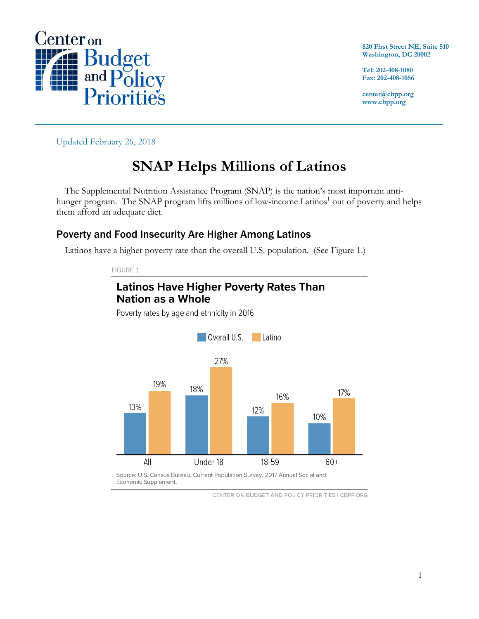

**820 First Street NE, Suite 510 Washington, DC 20002**

**Tel: 202-408-1080 Fax: 202-408-1056**

**center@cbpp.org www.cbpp.org**

Updated February 26, 2018

# **SNAP Helps Millions of Latinos**

The Supplemental Nutrition Assistance Program (SNAP) is the nation's most important antihunger program. The SNAP program lifts millions of low-income Latinos<sup>1</sup> out of poverty and helps them afford an adequate diet.

### Poverty and Food Insecurity Are Higher Among Latinos

Latinos have a higher poverty rate than the overall U.S. population. (See Figure 1.)

FIGURE 1



Poverty rates by age and ethnicity in 2016



CENTER ON BUDGET AND POLICY PRIORITIES | CBPP.ORG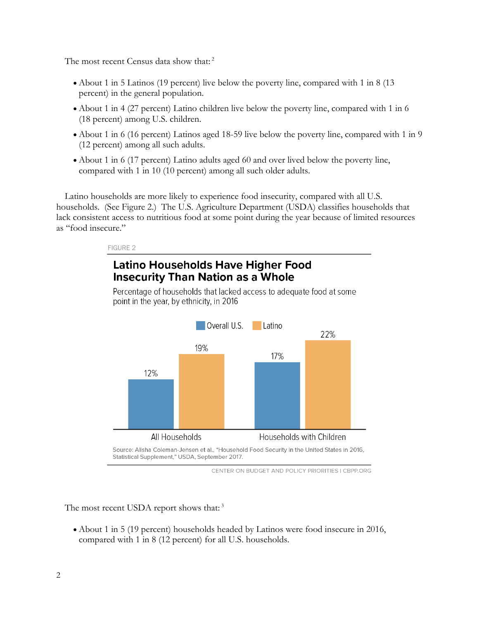The most recent Census data show that:<sup>2</sup>

- About 1 in 5 Latinos (19 percent) live below the poverty line, compared with 1 in 8 (13) percent) in the general population.
- About 1 in 4 (27 percent) Latino children live below the poverty line, compared with 1 in 6 (18 percent) among U.S. children.
- About 1 in 6 (16 percent) Latinos aged 18-59 live below the poverty line, compared with 1 in 9 (12 percent) among all such adults.
- About 1 in 6 (17 percent) Latino adults aged 60 and over lived below the poverty line, compared with 1 in 10 (10 percent) among all such older adults.

Latino households are more likely to experience food insecurity, compared with all U.S. households. (See Figure 2.) The U.S. Agriculture Department (USDA) classifies households that lack consistent access to nutritious food at some point during the year because of limited resources as "food insecure."

#### FIGURE 2

## **Latino Households Have Higher Food Insecurity Than Nation as a Whole**

Percentage of households that lacked access to adequate food at some point in the year, by ethnicity, in 2016



Source: Alisha Coleman-Jensen et al., "Household Food Security in the United States in 2016, Statistical Supplement," USDA, September 2017.

The most recent USDA report shows that:<sup>3</sup>

• About 1 in 5 (19 percent) households headed by Latinos were food insecure in 2016, compared with 1 in 8 (12 percent) for all U.S. households.

CENTER ON BUDGET AND POLICY PRIORITIES I CBPP.ORG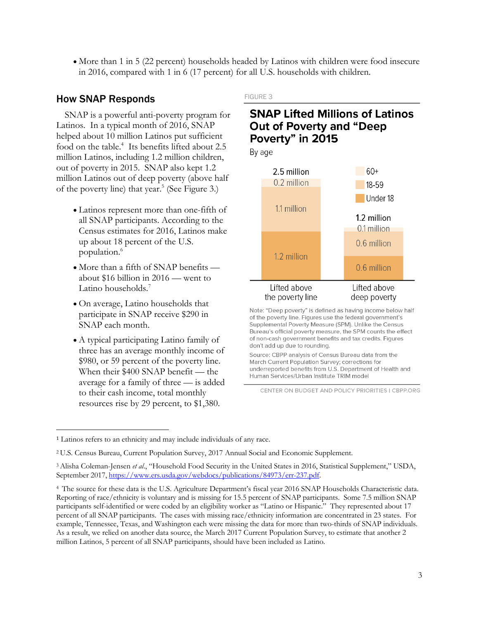• More than 1 in 5 (22 percent) households headed by Latinos with children were food insecure in 2016, compared with 1 in 6 (17 percent) for all U.S. households with children.

#### How SNAP Responds

SNAP is a powerful anti-poverty program for Latinos. In a typical month of 2016, SNAP helped about 10 million Latinos put sufficient food on the table.<sup>4</sup> Its benefits lifted about 2.5 million Latinos, including 1.2 million children, out of poverty in 2015. SNAP also kept 1.2 million Latinos out of deep poverty (above half of the poverty line) that year.<sup>5</sup> (See Figure 3.)

- Latinos represent more than one-fifth of all SNAP participants. According to the Census estimates for 2016, Latinos make up about 18 percent of the U.S. population. 6
- More than a fifth of SNAP benefits about \$16 billion in 2016 — went to Latino households. 7
- On average, Latino households that participate in SNAP receive \$290 in SNAP each month.
- A typical participating Latino family of three has an average monthly income of \$980, or 59 percent of the poverty line. When their \$400 SNAP benefit — the average for a family of three — is added to their cash income, total monthly resources rise by 29 percent, to \$1,380.

#### FIGURE 3

### **SNAP Lifted Millions of Latinos Out of Poverty and "Deep** Poverty" in 2015

By age



Note: "Deep poverty" is defined as having income below half of the poverty line. Figures use the federal government's Supplemental Poverty Measure (SPM). Unlike the Census Bureau's official poverty measure, the SPM counts the effect of non-cash government benefits and tax credits. Figures don't add up due to rounding.

Source: CBPP analysis of Census Bureau data from the March Current Population Survey; corrections for underreported benefits from U.S. Department of Health and Human Services/Urban Institute TRIM model

CENTER ON BUDGET AND POLICY PRIORITIES | CBPP.ORG

<sup>1</sup> Latinos refers to an ethnicity and may include individuals of any race.

<sup>2</sup> U.S. Census Bureau, Current Population Survey, 2017 Annual Social and Economic Supplement.

<sup>3</sup>Alisha Coleman-Jensen *et al*., "Household Food Security in the United States in 2016, Statistical Supplement," USDA, September 2017, https://www.ers.usda.gov/webdocs/publications/84973/err-237.pdf.

<sup>4</sup> The source for these data is the U.S. Agriculture Department's fiscal year 2016 SNAP Households Characteristic data. Reporting of race/ethnicity is voluntary and is missing for 15.5 percent of SNAP participants. Some 7.5 million SNAP participants self-identified or were coded by an eligibility worker as "Latino or Hispanic." They represented about 17 percent of all SNAP participants. The cases with missing race/ethnicity information are concentrated in 23 states. For example, Tennessee, Texas, and Washington each were missing the data for more than two-thirds of SNAP individuals. As a result, we relied on another data source, the March 2017 Current Population Survey, to estimate that another 2 million Latinos, 5 percent of all SNAP participants, should have been included as Latino.